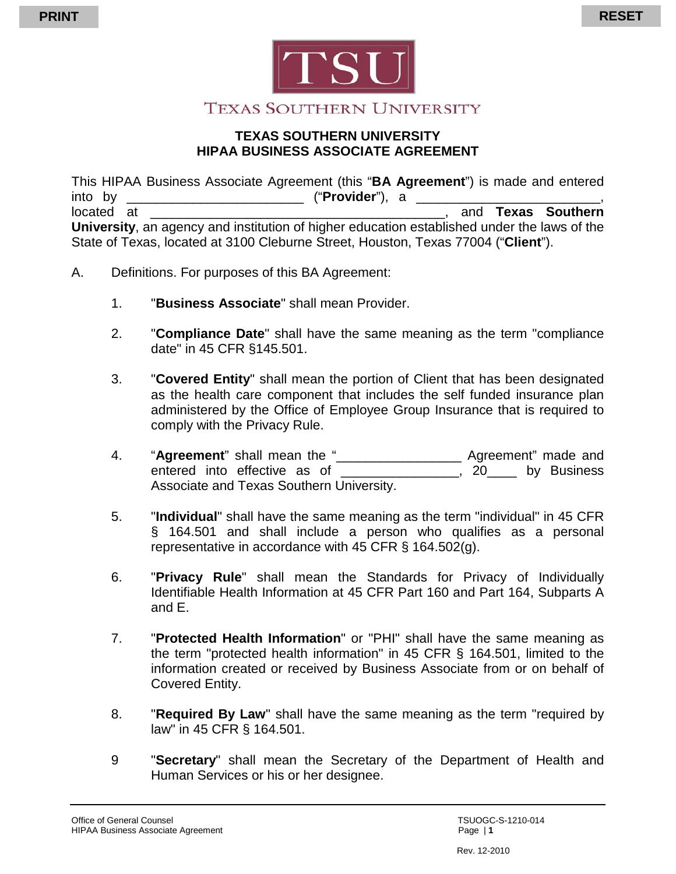



## **TEXAS SOUTHERN UNIVERSITY**

#### **TEXAS SOUTHERN UNIVERSITY HIPAA BUSINESS ASSOCIATE AGREEMENT**

This HIPAA Business Associate Agreement (this "**BA Agreement**") is made and entered into by **Example 20** ("**Provider**"), a located at \_\_\_\_\_\_\_\_\_\_\_\_\_\_\_\_\_\_\_\_\_\_\_\_\_\_\_\_\_\_\_\_\_\_\_\_\_\_\_\_, and **Texas Southern University**, an agency and institution of higher education established under the laws of the State of Texas, located at 3100 Cleburne Street, Houston, Texas 77004 ("**Client**").

- A. Definitions. For purposes of this BA Agreement:
	- 1. "**Business Associate**" shall mean Provider.
	- 2. "**Compliance Date**" shall have the same meaning as the term "compliance date" in 45 CFR §145.501.
	- 3. "**Covered Entity**" shall mean the portion of Client that has been designated as the health care component that includes the self funded insurance plan administered by the Office of Employee Group Insurance that is required to comply with the Privacy Rule.
	- 4. "**Agreement**" shall mean the "\_\_\_\_\_\_\_\_\_\_\_\_\_\_\_\_\_ Agreement" made and entered into effective as of the state of the state of the state of the state of the state of the state of the state of the state of the state of the state of the state of the state of the state of the state of the state o Associate and Texas Southern University.
	- 5. "**Individual**" shall have the same meaning as the term "individual" in 45 CFR § 164.501 and shall include a person who qualifies as a personal representative in accordance with 45 CFR § 164.502(g).
	- 6. "**Privacy Rule**" shall mean the Standards for Privacy of Individually Identifiable Health Information at 45 CFR Part 160 and Part 164, Subparts A and E.
	- 7. "**Protected Health Information**" or "PHI" shall have the same meaning as the term "protected health information" in 45 CFR § 164.501, limited to the information created or received by Business Associate from or on behalf of Covered Entity.
	- 8. "**Required By Law**" shall have the same meaning as the term "required by law" in 45 CFR § 164.501.
	- 9 "**Secretary**" shall mean the Secretary of the Department of Health and Human Services or his or her designee.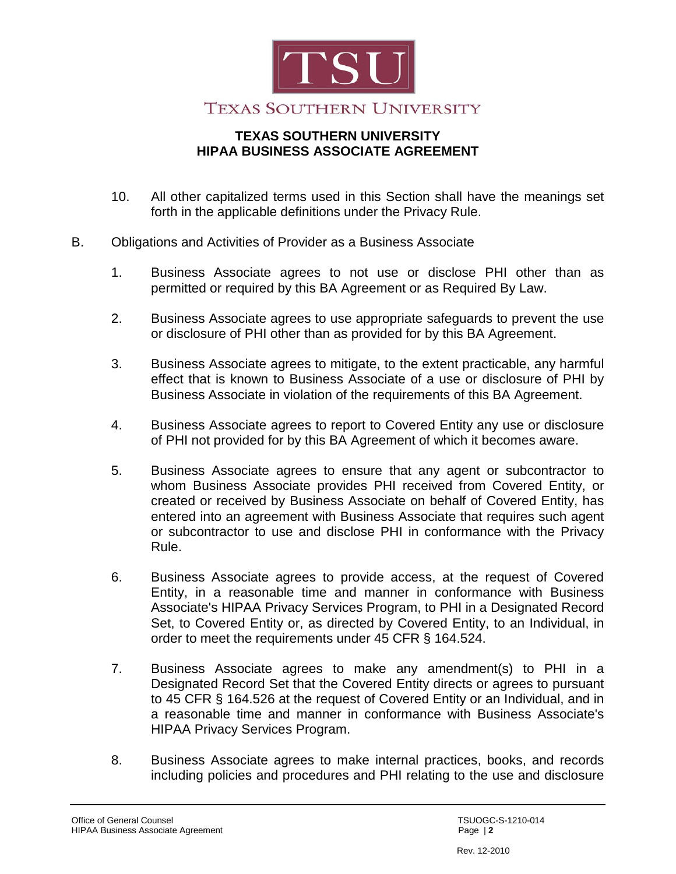

- 10. All other capitalized terms used in this Section shall have the meanings set forth in the applicable definitions under the Privacy Rule.
- B. Obligations and Activities of Provider as a Business Associate
	- 1. Business Associate agrees to not use or disclose PHI other than as permitted or required by this BA Agreement or as Required By Law.
	- 2. Business Associate agrees to use appropriate safeguards to prevent the use or disclosure of PHI other than as provided for by this BA Agreement.
	- 3. Business Associate agrees to mitigate, to the extent practicable, any harmful effect that is known to Business Associate of a use or disclosure of PHI by Business Associate in violation of the requirements of this BA Agreement.
	- 4. Business Associate agrees to report to Covered Entity any use or disclosure of PHI not provided for by this BA Agreement of which it becomes aware.
	- 5. Business Associate agrees to ensure that any agent or subcontractor to whom Business Associate provides PHI received from Covered Entity, or created or received by Business Associate on behalf of Covered Entity, has entered into an agreement with Business Associate that requires such agent or subcontractor to use and disclose PHI in conformance with the Privacy Rule.
	- 6. Business Associate agrees to provide access, at the request of Covered Entity, in a reasonable time and manner in conformance with Business Associate's HIPAA Privacy Services Program, to PHI in a Designated Record Set, to Covered Entity or, as directed by Covered Entity, to an Individual, in order to meet the requirements under 45 CFR § 164.524.
	- 7. Business Associate agrees to make any amendment(s) to PHI in a Designated Record Set that the Covered Entity directs or agrees to pursuant to 45 CFR § 164.526 at the request of Covered Entity or an Individual, and in a reasonable time and manner in conformance with Business Associate's HIPAA Privacy Services Program.
	- 8. Business Associate agrees to make internal practices, books, and records including policies and procedures and PHI relating to the use and disclosure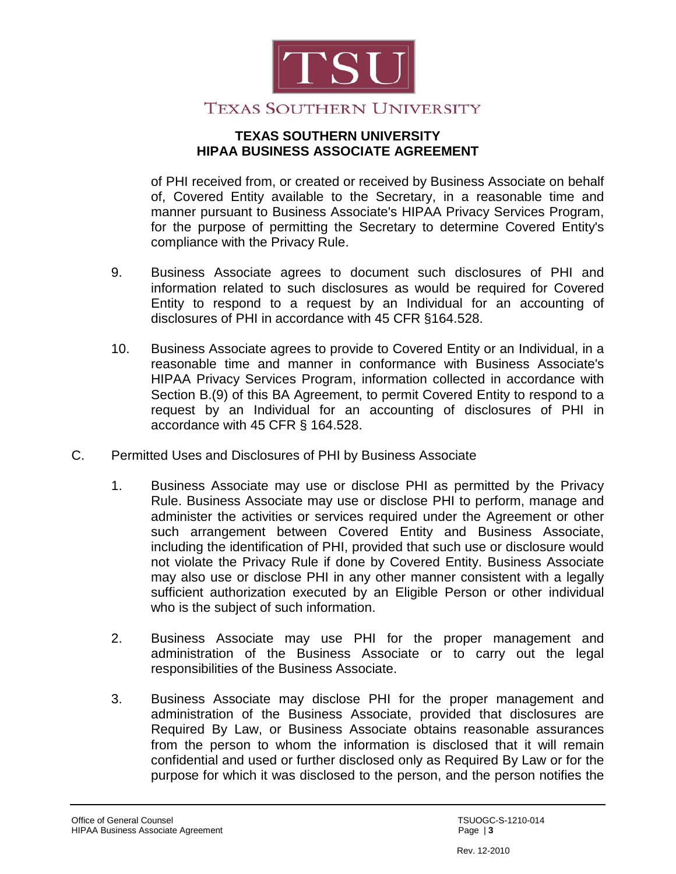

of PHI received from, or created or received by Business Associate on behalf of, Covered Entity available to the Secretary, in a reasonable time and manner pursuant to Business Associate's HIPAA Privacy Services Program, for the purpose of permitting the Secretary to determine Covered Entity's compliance with the Privacy Rule.

- 9. Business Associate agrees to document such disclosures of PHI and information related to such disclosures as would be required for Covered Entity to respond to a request by an Individual for an accounting of disclosures of PHI in accordance with 45 CFR §164.528.
- 10. Business Associate agrees to provide to Covered Entity or an Individual, in a reasonable time and manner in conformance with Business Associate's HIPAA Privacy Services Program, information collected in accordance with Section B.(9) of this BA Agreement, to permit Covered Entity to respond to a request by an Individual for an accounting of disclosures of PHI in accordance with 45 CFR § 164.528.
- C. Permitted Uses and Disclosures of PHI by Business Associate
	- 1. Business Associate may use or disclose PHI as permitted by the Privacy Rule. Business Associate may use or disclose PHI to perform, manage and administer the activities or services required under the Agreement or other such arrangement between Covered Entity and Business Associate, including the identification of PHI, provided that such use or disclosure would not violate the Privacy Rule if done by Covered Entity. Business Associate may also use or disclose PHI in any other manner consistent with a legally sufficient authorization executed by an Eligible Person or other individual who is the subject of such information.
	- 2. Business Associate may use PHI for the proper management and administration of the Business Associate or to carry out the legal responsibilities of the Business Associate.
	- 3. Business Associate may disclose PHI for the proper management and administration of the Business Associate, provided that disclosures are Required By Law, or Business Associate obtains reasonable assurances from the person to whom the information is disclosed that it will remain confidential and used or further disclosed only as Required By Law or for the purpose for which it was disclosed to the person, and the person notifies the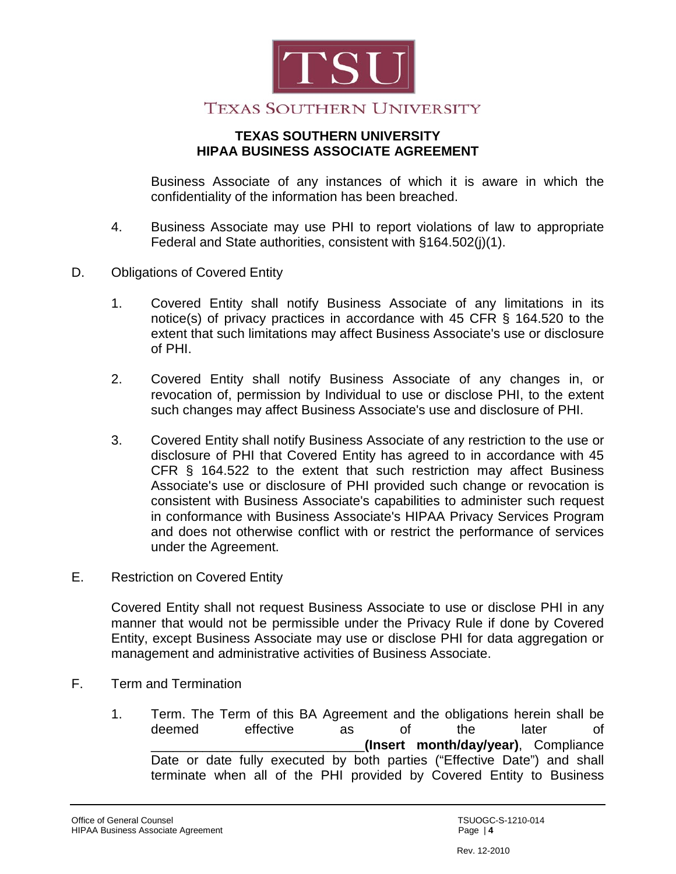

Business Associate of any instances of which it is aware in which the confidentiality of the information has been breached.

- 4. Business Associate may use PHI to report violations of law to appropriate Federal and State authorities, consistent with §164.502(j)(1).
- D. Obligations of Covered Entity
	- 1. Covered Entity shall notify Business Associate of any limitations in its notice(s) of privacy practices in accordance with 45 CFR § 164.520 to the extent that such limitations may affect Business Associate's use or disclosure of PHI.
	- 2. Covered Entity shall notify Business Associate of any changes in, or revocation of, permission by Individual to use or disclose PHI, to the extent such changes may affect Business Associate's use and disclosure of PHI.
	- 3. Covered Entity shall notify Business Associate of any restriction to the use or disclosure of PHI that Covered Entity has agreed to in accordance with 45 CFR § 164.522 to the extent that such restriction may affect Business Associate's use or disclosure of PHI provided such change or revocation is consistent with Business Associate's capabilities to administer such request in conformance with Business Associate's HIPAA Privacy Services Program and does not otherwise conflict with or restrict the performance of services under the Agreement.
- E. Restriction on Covered Entity

Covered Entity shall not request Business Associate to use or disclose PHI in any manner that would not be permissible under the Privacy Rule if done by Covered Entity, except Business Associate may use or disclose PHI for data aggregation or management and administrative activities of Business Associate.

- F. Term and Termination
	- 1. Term. The Term of this BA Agreement and the obligations herein shall be deemed effective as of the later of \_\_\_\_\_\_\_\_\_\_\_\_\_\_\_\_\_\_\_\_\_\_\_\_\_\_\_\_\_**(Insert month/day/year)**, Compliance Date or date fully executed by both parties ("Effective Date") and shall terminate when all of the PHI provided by Covered Entity to Business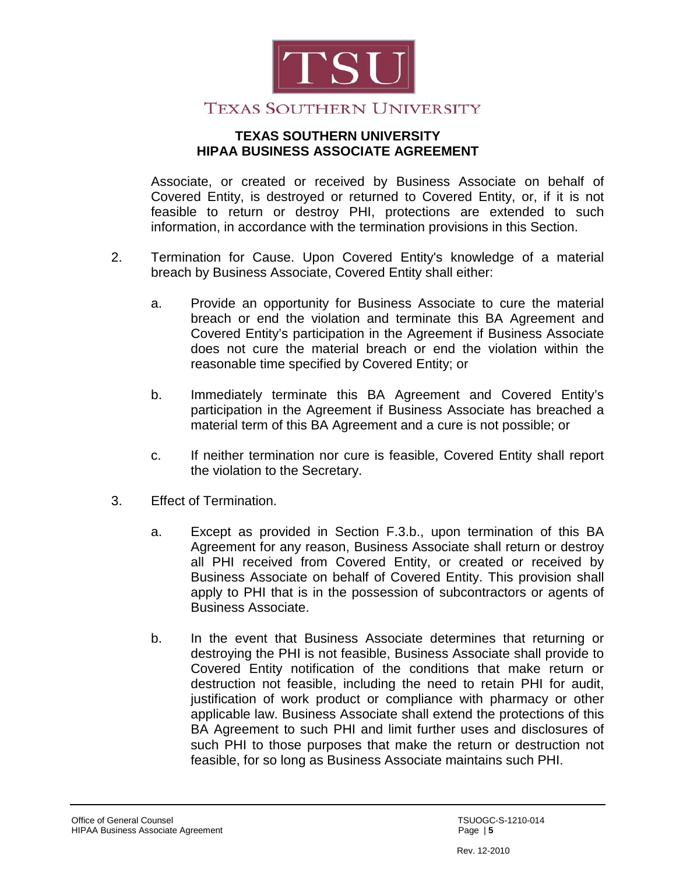

Associate, or created or received by Business Associate on behalf of Covered Entity, is destroyed or returned to Covered Entity, or, if it is not feasible to return or destroy PHI, protections are extended to such information, in accordance with the termination provisions in this Section.

- 2. Termination for Cause. Upon Covered Entity's knowledge of a material breach by Business Associate, Covered Entity shall either:
	- a. Provide an opportunity for Business Associate to cure the material breach or end the violation and terminate this BA Agreement and Covered Entity's participation in the Agreement if Business Associate does not cure the material breach or end the violation within the reasonable time specified by Covered Entity; or
	- b. Immediately terminate this BA Agreement and Covered Entity's participation in the Agreement if Business Associate has breached a material term of this BA Agreement and a cure is not possible; or
	- c. If neither termination nor cure is feasible, Covered Entity shall report the violation to the Secretary.
- 3. Effect of Termination.
	- a. Except as provided in Section F.3.b., upon termination of this BA Agreement for any reason, Business Associate shall return or destroy all PHI received from Covered Entity, or created or received by Business Associate on behalf of Covered Entity. This provision shall apply to PHI that is in the possession of subcontractors or agents of Business Associate.
	- b. In the event that Business Associate determines that returning or destroying the PHI is not feasible, Business Associate shall provide to Covered Entity notification of the conditions that make return or destruction not feasible, including the need to retain PHI for audit, justification of work product or compliance with pharmacy or other applicable law. Business Associate shall extend the protections of this BA Agreement to such PHI and limit further uses and disclosures of such PHI to those purposes that make the return or destruction not feasible, for so long as Business Associate maintains such PHI.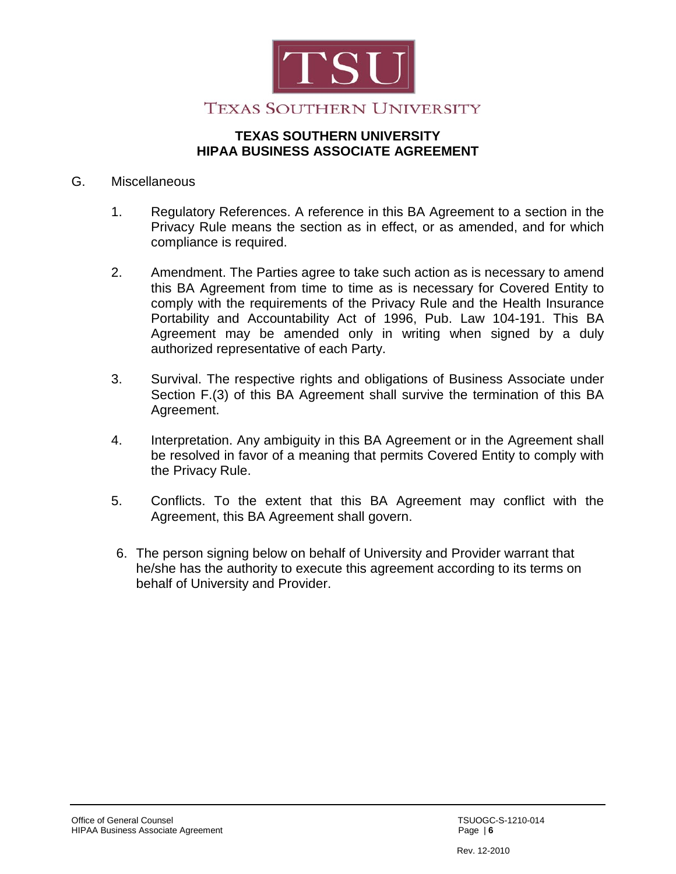

#### G. Miscellaneous

- 1. Regulatory References. A reference in this BA Agreement to a section in the Privacy Rule means the section as in effect, or as amended, and for which compliance is required.
- 2. Amendment. The Parties agree to take such action as is necessary to amend this BA Agreement from time to time as is necessary for Covered Entity to comply with the requirements of the Privacy Rule and the Health Insurance Portability and Accountability Act of 1996, Pub. Law 104-191. This BA Agreement may be amended only in writing when signed by a duly authorized representative of each Party.
- 3. Survival. The respective rights and obligations of Business Associate under Section F.(3) of this BA Agreement shall survive the termination of this BA Agreement.
- 4. Interpretation. Any ambiguity in this BA Agreement or in the Agreement shall be resolved in favor of a meaning that permits Covered Entity to comply with the Privacy Rule.
- 5. Conflicts. To the extent that this BA Agreement may conflict with the Agreement, this BA Agreement shall govern.
- 6. The person signing below on behalf of University and Provider warrant that he/she has the authority to execute this agreement according to its terms on behalf of University and Provider.